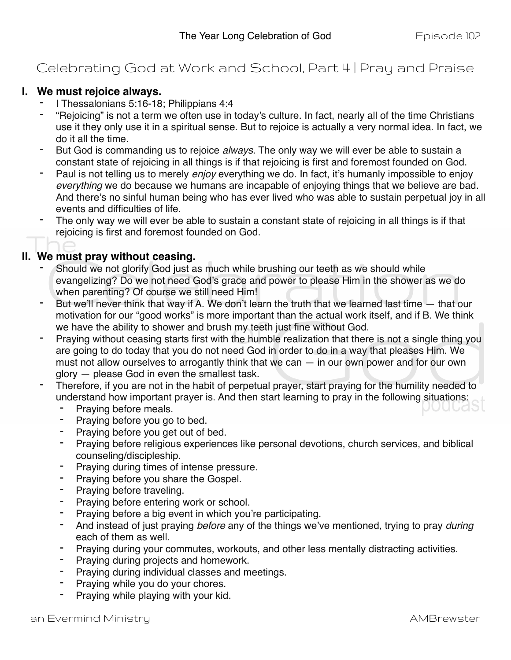## Celebrating God at Work and School, Part 4 | Pray and Praise

## **I. We must rejoice always.**

- I Thessalonians 5:16-18; Philippians 4:4
- "Rejoicing" is not a term we often use in today's culture. In fact, nearly all of the time Christians use it they only use it in a spiritual sense. But to rejoice is actually a very normal idea. In fact, we do it all the time.
- But God is commanding us to rejoice *always*. The only way we will ever be able to sustain a constant state of rejoicing in all things is if that rejoicing is first and foremost founded on God.
- Paul is not telling us to merely *enjoy* everything we do. In fact, it's humanly impossible to enjoy *everything* we do because we humans are incapable of enjoying things that we believe are bad. And there's no sinful human being who has ever lived who was able to sustain perpetual joy in all events and difficulties of life.
- The only way we will ever be able to sustain a constant state of rejoicing in all things is if that rejoicing is first and foremost founded on God.

## **II. We must pray without ceasing.**

- Should we not glorify God just as much while brushing our teeth as we should while evangelizing? Do we not need God's grace and power to please Him in the shower as we do when parenting? Of course we still need Him!
- But we'll never think that way if A. We don't learn the truth that we learned last time that our motivation for our "good works" is more important than the actual work itself, and if B. We think we have the ability to shower and brush my teeth just fine without God.
- Praying without ceasing starts first with the humble realization that there is not a single thing you are going to do today that you do not need God in order to do in a way that pleases Him. We must not allow ourselves to arrogantly think that we can — in our own power and for our own glory — please God in even the smallest task.
- Therefore, if you are not in the habit of perpetual prayer, start praying for the humility needed to understand how important prayer is. And then start learning to pray in the following situations:
	- Praying before meals.
	- Praying before you go to bed.
	- Praying before you get out of bed.
	- Praying before religious experiences like personal devotions, church services, and biblical counseling/discipleship.
	- Praying during times of intense pressure.
	- Praying before you share the Gospel.
	- Praying before traveling.
	- Praying before entering work or school.
	- Praying before a big event in which you're participating.
	- And instead of just praying *before* any of the things we've mentioned, trying to pray *during* each of them as well.
	- Praying during your commutes, workouts, and other less mentally distracting activities.
	- Praying during projects and homework.
	- Praying during individual classes and meetings.
	- Praying while you do your chores.
	- Praying while playing with your kid.